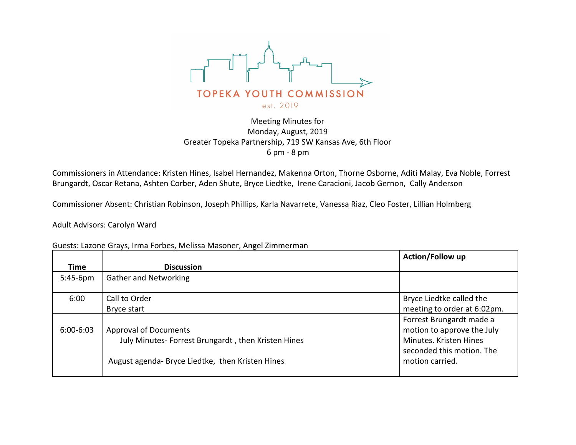

## Meeting Minutes for Monday, August, 2019 Greater Topeka Partnership, 719 SW Kansas Ave, 6th Floor 6 pm - 8 pm

Commissioners in Attendance: Kristen Hines, Isabel Hernandez, Makenna Orton, Thorne Osborne, Aditi Malay, Eva Noble, Forrest Brungardt, Oscar Retana, Ashten Corber, Aden Shute, Bryce Liedtke, Irene Caracioni, Jacob Gernon, Cally Anderson

Commissioner Absent: Christian Robinson, Joseph Phillips, Karla Navarrete, Vanessa Riaz, Cleo Foster, Lillian Holmberg

Adult Advisors: Carolyn Ward

|                                                    | <b>Action/Follow up</b>      |
|----------------------------------------------------|------------------------------|
| <b>Discussion</b>                                  |                              |
| Gather and Networking                              |                              |
| Call to Order                                      | Bryce Liedtke called the     |
| Bryce start                                        | meeting to order at 6:02pm.  |
|                                                    | Forrest Brungardt made a     |
|                                                    | motion to approve the July   |
| July Minutes-Forrest Brungardt, then Kristen Hines | Minutes, Kristen Hines       |
|                                                    | seconded this motion. The    |
| August agenda- Bryce Liedtke, then Kristen Hines   | motion carried.              |
|                                                    | <b>Approval of Documents</b> |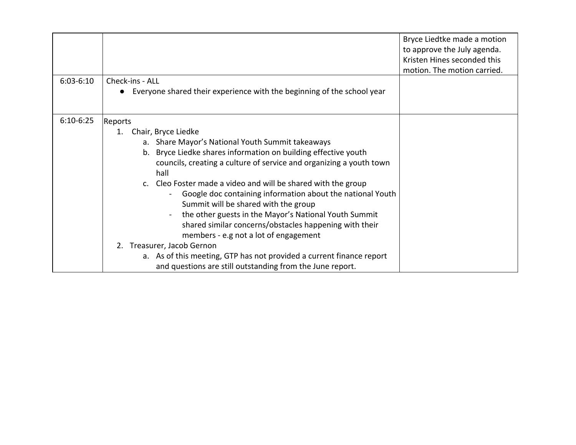| $6:03-6:10$ | Check-ins - ALL<br>Everyone shared their experience with the beginning of the school year                                                                                                                                                                                                                                                                                                                                                                                                                                                                                                                                                                                                                                                          | Bryce Liedtke made a motion<br>to approve the July agenda.<br>Kristen Hines seconded this<br>motion. The motion carried. |
|-------------|----------------------------------------------------------------------------------------------------------------------------------------------------------------------------------------------------------------------------------------------------------------------------------------------------------------------------------------------------------------------------------------------------------------------------------------------------------------------------------------------------------------------------------------------------------------------------------------------------------------------------------------------------------------------------------------------------------------------------------------------------|--------------------------------------------------------------------------------------------------------------------------|
| $6:10-6:25$ | Reports<br>Chair, Bryce Liedke<br>1.<br>a. Share Mayor's National Youth Summit takeaways<br>b. Bryce Liedke shares information on building effective youth<br>councils, creating a culture of service and organizing a youth town<br>hall<br>c. Cleo Foster made a video and will be shared with the group<br>Google doc containing information about the national Youth<br>Summit will be shared with the group<br>the other guests in the Mayor's National Youth Summit<br>shared similar concerns/obstacles happening with their<br>members - e.g not a lot of engagement<br>Treasurer, Jacob Gernon<br>2.<br>a. As of this meeting, GTP has not provided a current finance report<br>and questions are still outstanding from the June report. |                                                                                                                          |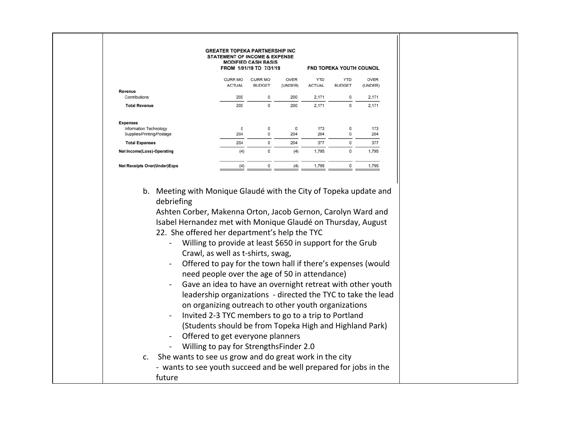|                                                                                                                                                                                                                                                            | <b>GREATER TOPEKA PARTNERSHIP INC</b><br><b>STATEMENT OF INCOME &amp; EXPENSE</b><br><b>MODIFIED CASH BASIS</b><br>FROM 1/01/19 TO 7/31/19<br><b>FND TOPEKA YOUTH COUNCIL</b> |                                 |                        |                             |                             |                        |
|------------------------------------------------------------------------------------------------------------------------------------------------------------------------------------------------------------------------------------------------------------|-------------------------------------------------------------------------------------------------------------------------------------------------------------------------------|---------------------------------|------------------------|-----------------------------|-----------------------------|------------------------|
|                                                                                                                                                                                                                                                            | <b>CURR MO</b><br><b>ACTUAL</b>                                                                                                                                               | <b>CURR MO</b><br><b>BUDGET</b> | <b>OVER</b><br>(UNDER) | <b>YTD</b><br><b>ACTUAL</b> | <b>YTD</b><br><b>BUDGET</b> | <b>OVER</b><br>(UNDER) |
| Revenue<br>Contributions                                                                                                                                                                                                                                   | 200                                                                                                                                                                           | $\circ$                         | 200                    | 2,171                       | 0                           | 2,171                  |
| <b>Total Revenue</b>                                                                                                                                                                                                                                       | 200                                                                                                                                                                           | 0                               | 200                    | 2,171                       | 0                           | 2,171                  |
| <b>Expenses</b>                                                                                                                                                                                                                                            |                                                                                                                                                                               |                                 |                        |                             |                             |                        |
| Information Technology<br>Supplies/Printing/Postage                                                                                                                                                                                                        | 0<br>204                                                                                                                                                                      | 0<br>0                          | 0<br>204               | 173<br>204                  | 0<br>0                      | 173<br>204             |
| <b>Total Expenses</b>                                                                                                                                                                                                                                      | 204                                                                                                                                                                           | $\circ$                         | 204                    | 377                         | $\circ$                     | 377                    |
| Net Income(Loss)-Operating                                                                                                                                                                                                                                 | (4)                                                                                                                                                                           | $\circ$                         | (4)                    | 1,795                       | O                           | 1,795                  |
| <b>Net Receipts Over(Under)Exps</b>                                                                                                                                                                                                                        | (4)                                                                                                                                                                           | $\circ$                         | (4)                    | 1,795                       | $\overline{0}$              | 1,795                  |
| 22. She offered her department's help the TYC                                                                                                                                                                                                              | Willing to provide at least \$650 in support for the Grub<br>Crawl, as well as t-shirts, swag,                                                                                |                                 |                        |                             |                             |                        |
|                                                                                                                                                                                                                                                            | Offered to pay for the town hall if there's expenses (would<br>need people over the age of 50 in attendance)                                                                  |                                 |                        |                             |                             |                        |
| Gave an idea to have an overnight retreat with other youth<br>leadership organizations - directed the TYC to take the lead<br>on organizing outreach to other youth organizations<br>Invited 2-3 TYC members to go to a trip to Portland<br>$\blacksquare$ |                                                                                                                                                                               |                                 |                        |                             |                             |                        |
| (Students should be from Topeka High and Highland Park)<br>Offered to get everyone planners<br>Willing to pay for StrengthsFinder 2.0                                                                                                                      |                                                                                                                                                                               |                                 |                        |                             |                             |                        |
| She wants to see us grow and do great work in the city<br>C.<br>- wants to see youth succeed and be well prepared for jobs in the                                                                                                                          |                                                                                                                                                                               |                                 |                        |                             |                             |                        |

future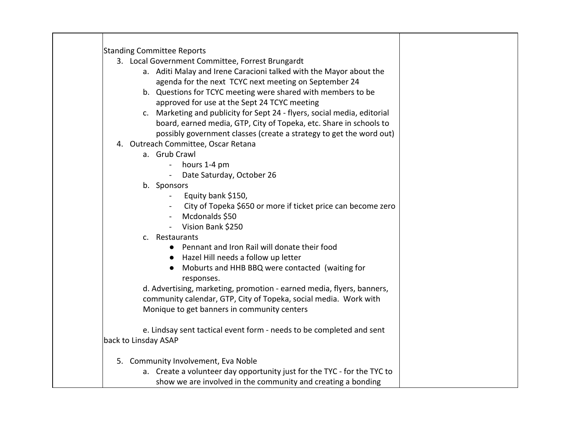| <b>Standing Committee Reports</b>                                        |  |
|--------------------------------------------------------------------------|--|
| 3. Local Government Committee, Forrest Brungardt                         |  |
| a. Aditi Malay and Irene Caracioni talked with the Mayor about the       |  |
| agenda for the next TCYC next meeting on September 24                    |  |
| b. Questions for TCYC meeting were shared with members to be             |  |
| approved for use at the Sept 24 TCYC meeting                             |  |
| c. Marketing and publicity for Sept 24 - flyers, social media, editorial |  |
| board, earned media, GTP, City of Topeka, etc. Share in schools to       |  |
| possibly government classes (create a strategy to get the word out)      |  |
| 4. Outreach Committee, Oscar Retana                                      |  |
| a. Grub Crawl                                                            |  |
| hours 1-4 pm<br>$\blacksquare$                                           |  |
| Date Saturday, October 26                                                |  |
| b. Sponsors                                                              |  |
| Equity bank \$150,                                                       |  |
| City of Topeka \$650 or more if ticket price can become zero             |  |
| Mcdonalds \$50                                                           |  |
| Vision Bank \$250                                                        |  |
| c. Restaurants                                                           |  |
| Pennant and Iron Rail will donate their food<br>$\bullet$                |  |
| Hazel Hill needs a follow up letter                                      |  |
| Moburts and HHB BBQ were contacted (waiting for<br>$\bullet$             |  |
| responses.                                                               |  |
| d. Advertising, marketing, promotion - earned media, flyers, banners,    |  |
| community calendar, GTP, City of Topeka, social media. Work with         |  |
| Monique to get banners in community centers                              |  |
| e. Lindsay sent tactical event form - needs to be completed and sent     |  |
| back to Linsday ASAP                                                     |  |
|                                                                          |  |
| 5. Community Involvement, Eva Noble                                      |  |
| a. Create a volunteer day opportunity just for the TYC - for the TYC to  |  |
| show we are involved in the community and creating a bonding             |  |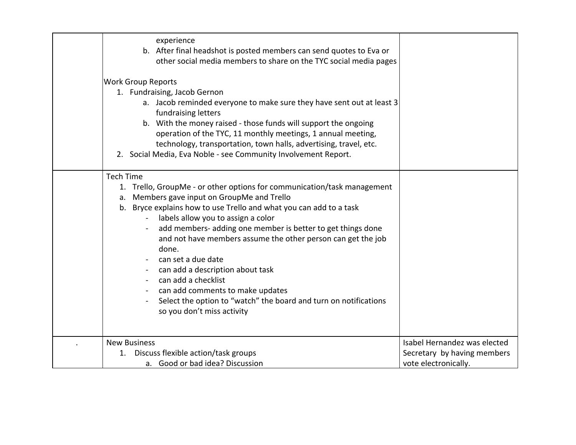| experience<br>b. After final headshot is posted members can send quotes to Eva or<br>other social media members to share on the TYC social media pages<br><b>Work Group Reports</b><br>1. Fundraising, Jacob Gernon<br>a. Jacob reminded everyone to make sure they have sent out at least 3<br>fundraising letters<br>b. With the money raised - those funds will support the ongoing<br>operation of the TYC, 11 monthly meetings, 1 annual meeting,<br>technology, transportation, town halls, advertising, travel, etc.<br>2. Social Media, Eva Noble - see Community Involvement Report.                            |                                                                                     |
|--------------------------------------------------------------------------------------------------------------------------------------------------------------------------------------------------------------------------------------------------------------------------------------------------------------------------------------------------------------------------------------------------------------------------------------------------------------------------------------------------------------------------------------------------------------------------------------------------------------------------|-------------------------------------------------------------------------------------|
| <b>Tech Time</b><br>1. Trello, GroupMe - or other options for communication/task management<br>Members gave input on GroupMe and Trello<br>а.<br>b. Bryce explains how to use Trello and what you can add to a task<br>labels allow you to assign a color<br>add members- adding one member is better to get things done<br>and not have members assume the other person can get the job<br>done.<br>can set a due date<br>can add a description about task<br>can add a checklist<br>can add comments to make updates<br>Select the option to "watch" the board and turn on notifications<br>so you don't miss activity |                                                                                     |
| <b>New Business</b><br>1. Discuss flexible action/task groups<br>a. Good or bad idea? Discussion                                                                                                                                                                                                                                                                                                                                                                                                                                                                                                                         | Isabel Hernandez was elected<br>Secretary by having members<br>vote electronically. |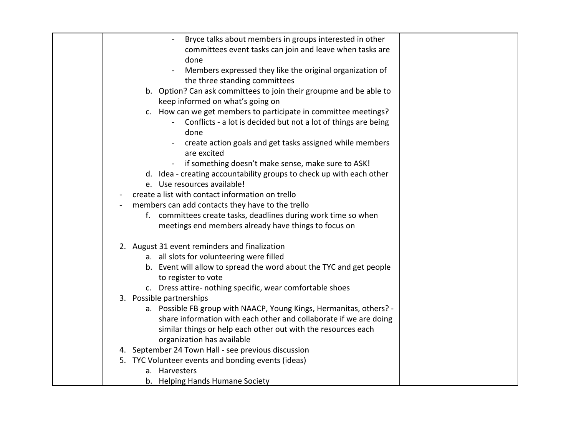| Bryce talks about members in groups interested in other                 |  |
|-------------------------------------------------------------------------|--|
| committees event tasks can join and leave when tasks are                |  |
| done                                                                    |  |
| Members expressed they like the original organization of                |  |
| the three standing committees                                           |  |
| b. Option? Can ask committees to join their groupme and be able to      |  |
| keep informed on what's going on                                        |  |
| c. How can we get members to participate in committee meetings?         |  |
| Conflicts - a lot is decided but not a lot of things are being<br>done  |  |
| create action goals and get tasks assigned while members<br>are excited |  |
| if something doesn't make sense, make sure to ASK!                      |  |
| d. Idea - creating accountability groups to check up with each other    |  |
| e. Use resources available!                                             |  |
| create a list with contact information on trello                        |  |
| members can add contacts they have to the trello                        |  |
| f. committees create tasks, deadlines during work time so when          |  |
| meetings end members already have things to focus on                    |  |
| 2. August 31 event reminders and finalization                           |  |
| a. all slots for volunteering were filled                               |  |
| b. Event will allow to spread the word about the TYC and get people     |  |
| to register to vote                                                     |  |
| c. Dress attire- nothing specific, wear comfortable shoes               |  |
| 3. Possible partnerships                                                |  |
| a. Possible FB group with NAACP, Young Kings, Hermanitas, others? -     |  |
| share information with each other and collaborate if we are doing       |  |
| similar things or help each other out with the resources each           |  |
| organization has available                                              |  |
| 4. September 24 Town Hall - see previous discussion                     |  |
| 5. TYC Volunteer events and bonding events (ideas)                      |  |
| a. Harvesters                                                           |  |
| b. Helping Hands Humane Society                                         |  |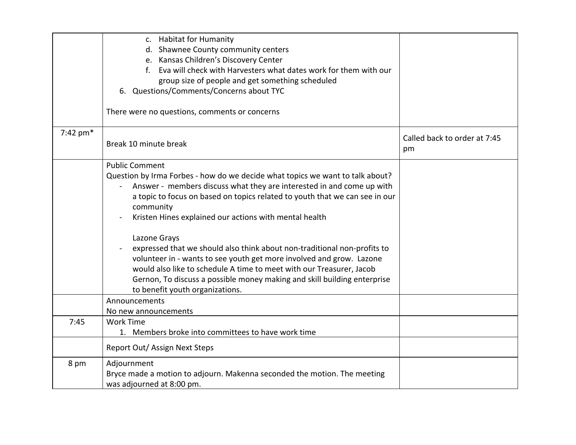|          | c. Habitat for Humanity<br>d. Shawnee County community centers<br>e. Kansas Children's Discovery Center<br>f. Eva will check with Harvesters what dates work for them with our<br>group size of people and get something scheduled<br>6. Questions/Comments/Concerns about TYC<br>There were no questions, comments or concerns                                                                                                                                                                                                                                                                                                                                                                  |                                    |
|----------|--------------------------------------------------------------------------------------------------------------------------------------------------------------------------------------------------------------------------------------------------------------------------------------------------------------------------------------------------------------------------------------------------------------------------------------------------------------------------------------------------------------------------------------------------------------------------------------------------------------------------------------------------------------------------------------------------|------------------------------------|
| 7:42 pm* | Break 10 minute break                                                                                                                                                                                                                                                                                                                                                                                                                                                                                                                                                                                                                                                                            | Called back to order at 7:45<br>pm |
|          | <b>Public Comment</b><br>Question by Irma Forbes - how do we decide what topics we want to talk about?<br>Answer - members discuss what they are interested in and come up with<br>a topic to focus on based on topics related to youth that we can see in our<br>community<br>Kristen Hines explained our actions with mental health<br>Lazone Grays<br>expressed that we should also think about non-traditional non-profits to<br>volunteer in - wants to see youth get more involved and grow. Lazone<br>would also like to schedule A time to meet with our Treasurer, Jacob<br>Gernon, To discuss a possible money making and skill building enterprise<br>to benefit youth organizations. |                                    |
|          | Announcements<br>No new announcements                                                                                                                                                                                                                                                                                                                                                                                                                                                                                                                                                                                                                                                            |                                    |
| 7:45     | <b>Work Time</b><br>1. Members broke into committees to have work time<br>Report Out/ Assign Next Steps                                                                                                                                                                                                                                                                                                                                                                                                                                                                                                                                                                                          |                                    |
| 8 pm     | Adjournment<br>Bryce made a motion to adjourn. Makenna seconded the motion. The meeting<br>was adjourned at 8:00 pm.                                                                                                                                                                                                                                                                                                                                                                                                                                                                                                                                                                             |                                    |